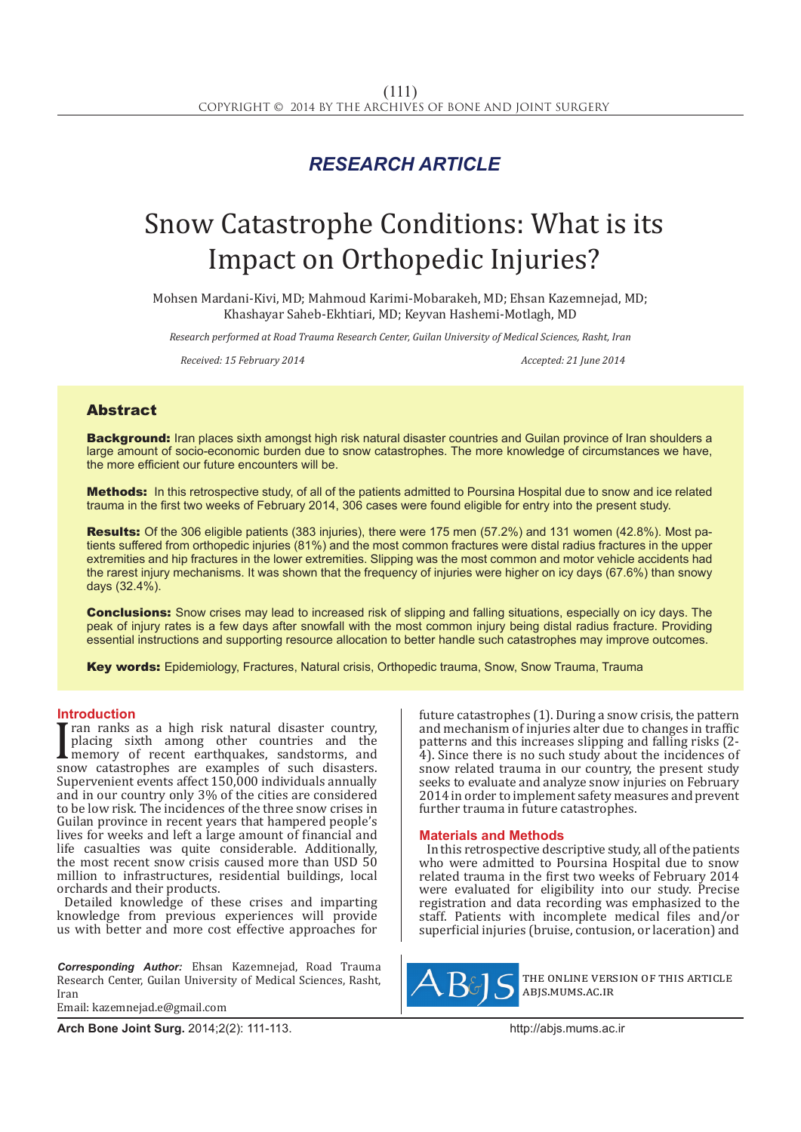# *RESEARCH ARTICLE*

# Snow Catastrophe Conditions: What is its Impact on Orthopedic Injuries?

Mohsen Mardani-Kivi, MD; Mahmoud Karimi-Mobarakeh, MD; Ehsan Kazemnejad, MD; Khashayar Saheb-Ekhtiari, MD; Keyvan Hashemi-Motlagh, MD

*Research performed at Road Trauma Research Center, Guilan University of Medical Sciences, Rasht, Iran*

*Received: 15 February 2014 Accepted: 21 June 2014*

## Abstract

**Background:** Iran places sixth amongst high risk natural disaster countries and Guilan province of Iran shoulders a large amount of socio-economic burden due to snow catastrophes. The more knowledge of circumstances we have, the more efficient our future encounters will be.

Methods: In this retrospective study, of all of the patients admitted to Poursina Hospital due to snow and ice related trauma in the first two weeks of February 2014, 306 cases were found eligible for entry into the present study.

Results: Of the 306 eligible patients (383 injuries), there were 175 men (57.2%) and 131 women (42.8%). Most patients suffered from orthopedic injuries (81%) and the most common fractures were distal radius fractures in the upper extremities and hip fractures in the lower extremities. Slipping was the most common and motor vehicle accidents had the rarest injury mechanisms. It was shown that the frequency of injuries were higher on icy days (67.6%) than snowy days (32.4%).

**Conclusions:** Snow crises may lead to increased risk of slipping and falling situations, especially on icy days. The peak of injury rates is a few days after snowfall with the most common injury being distal radius fracture. Providing essential instructions and supporting resource allocation to better handle such catastrophes may improve outcomes.

Key words: Epidemiology, Fractures, Natural crisis, Orthopedic trauma, Snow, Snow Trauma, Trauma

#### **Introduction**

I all rains as a light risk hadian disaster country,<br>placing sixth among other countries and the<br>memory of recent earthquakes, sandstorms, and<br>supervenient events affect 150,000 individuals annually ran ranks as a high risk natural disaster country, placing sixth among other countries and the memory of recent earthquakes, sandstorms, and Supervenient events affect 150,000 individuals annually and in our country only 3% of the cities are considered to be low risk. The incidences of the three snow crises in Guilan province in recent years that hampered people's lives for weeks and left a large amount of financial and life casualties was quite considerable. Additionally, the most recent snow crisis caused more than USD 50 million to infrastructures, residential buildings, local orchards and their products.

Detailed knowledge of these crises and imparting knowledge from previous experiences will provide us with better and more cost effective approaches for

*Corresponding Author:* Ehsan Kazemnejad, Road Trauma Research Center, Guilan University of Medical Sciences, Rasht, Iran Email: kazemnejad.e@gmail.com

future catastrophes (1). During a snow crisis, the pattern and mechanism of injuries alter due to changes in traffic patterns and this increases slipping and falling risks (2- 4). Since there is no such study about the incidences of snow related trauma in our country, the present study seeks to evaluate and analyze snow injuries on February 2014 in order to implement safety measures and prevent further trauma in future catastrophes.

#### **Materials and Methods**

In this retrospective descriptive study, all of the patients who were admitted to Poursina Hospital due to snow related trauma in the first two weeks of February 2014 were evaluated for eligibility into our study. Precise registration and data recording was emphasized to the staff. Patients with incomplete medical files and/or superficial injuries (bruise, contusion, or laceration) and



the online version of this article abjs.mums.ac.ir

**Arch Bone Joint Surg.** 2014;2(2): 111-113.http://abjs.mums.ac.ir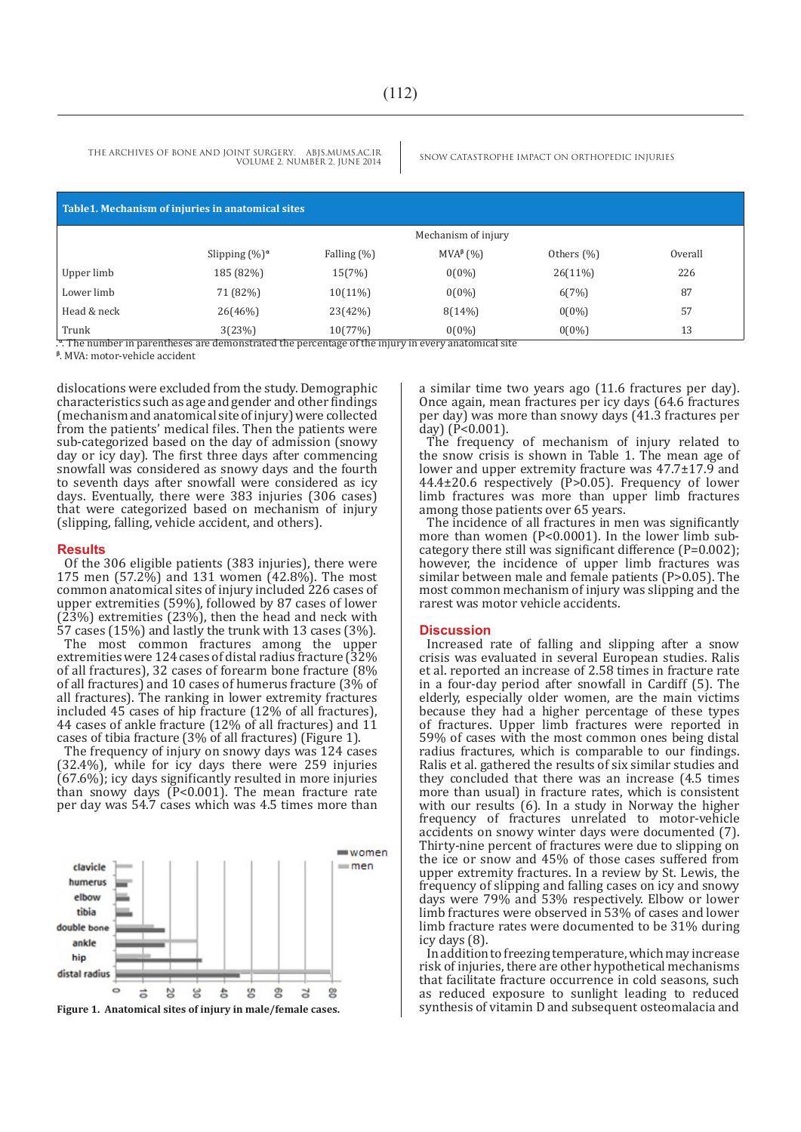THE ARCHIVES OF BONE AND JOINT SURGERY. ABJS.MUMS.AC.IR SNOW CATASTROPHE IMPACT ON ORTHOPEDIC INJURIES VOLUME 2. NUMBER 2. JUNE 2014

| Table 1. Mechanism of injuries in anatomical sites |                                                                                                                           |                |                      |               |         |
|----------------------------------------------------|---------------------------------------------------------------------------------------------------------------------------|----------------|----------------------|---------------|---------|
|                                                    | Mechanism of injury                                                                                                       |                |                      |               |         |
|                                                    | Slipping $(\%)^{\alpha}$                                                                                                  | Falling $(\%)$ | MVA <sup>β</sup> (%) | Others $(\%)$ | Overall |
| Upper limb                                         | 185 (82%)                                                                                                                 | 15(7%)         | $0(0\%)$             | $26(11\%)$    | 226     |
| Lower limb                                         | 71 (82%)                                                                                                                  | $10(11\%)$     | $0(0\%)$             | 6(7%)         | 87      |
| Head & neck                                        | 26(46%)                                                                                                                   | 23(42%)        | 8(14%)               | $0(0\%)$      | 57      |
| Trunk                                              | 3(23%)<br>0. The second exclusive constitution and discovered that is a constant of the following to account an about 201 | 10(77%)        | $0(0\%)$             | $0(0\%)$      | 13      |

**<sup>α</sup>**. The number in parentheses are demonstrated the percentage of the injury in every anatomical site

.<del>"</del>. The number in parentheses<br><sup>β</sup>. MVA: motor-vehicle accident

dislocations were excluded from the study. Demographic characteristics such as age and gender and other findings (mechanism and anatomical site of injury) were collected from the patients' medical files. Then the patients were sub-categorized based on the day of admission (snowy day or icy day). The first three days after commencing snowfall was considered as snowy days and the fourth to seventh days after snowfall were considered as icy days. Eventually, there were 383 injuries (306 cases) that were categorized based on mechanism of injury (slipping, falling, vehicle accident, and others).

#### **Results**

Of the 306 eligible patients (383 injuries), there were 175 men (57.2%) and 131 women (42.8%). The most common anatomical sites of injury included 226 cases of upper extremities (59%), followed by 87 cases of lower (23%) extremities (23%), then the head and neck with 57 cases (15%) and lastly the trunk with 13 cases (3%).

The most common fractures among the upper extremities were 124 cases of distal radius fracture (32% of all fractures), 32 cases of forearm bone fracture (8% of all fractures) and 10 cases of humerus fracture (3% of all fractures). The ranking in lower extremity fractures included 45 cases of hip fracture (12% of all fractures), 44 cases of ankle fracture (12% of all fractures) and 11 cases of tibia fracture (3% of all fractures) (Figure 1).

The frequency of injury on snowy days was 124 cases (32.4%), while for icy days there were 259 injuries (67.6%); icy days significantly resulted in more injuries than snowy days (P<0.001). The mean fracture rate per day was 54.7 cases which was 4.5 times more than



a similar time two years ago (11.6 fractures per day). Once again, mean fractures per icy days (64.6 fractures per day) was more than snowy days (41.3 fractures per day) (P<0.001).

The frequency of mechanism of injury related to the snow crisis is shown in Table 1. The mean age of lower and upper extremity fracture was 47.7±17.9 and  $44.4\pm20.6$  respectively (P $>0.05$ ). Frequency of lower limb fractures was more than upper limb fractures among those patients over 65 years.

The incidence of all fractures in men was significantly more than women (P<0.0001). In the lower limb subcategory there still was significant difference (P=0.002); however, the incidence of upper limb fractures was similar between male and female patients (P>0.05). The most common mechanism of injury was slipping and the rarest was motor vehicle accidents.

#### **Discussion**

Increased rate of falling and slipping after a snow crisis was evaluated in several European studies. Ralis et al. reported an increase of 2.58 times in fracture rate in a four-day period after snowfall in Cardiff (5). The elderly, especially older women, are the main victims because they had a higher percentage of these types of fractures. Upper limb fractures were reported in 59% of cases with the most common ones being distal radius fractures, which is comparable to our findings. Ralis et al. gathered the results of six similar studies and they concluded that there was an increase (4.5 times more than usual) in fracture rates, which is consistent with our results (6). In a study in Norway the higher frequency of fractures unrelated to motor-vehicle accidents on snowy winter days were documented (7). Thirty-nine percent of fractures were due to slipping on the ice or snow and 45% of those cases suffered from upper extremity fractures. In a review by St. Lewis, the frequency of slipping and falling cases on icy and snowy days were 79% and 53% respectively. Elbow or lower limb fractures were observed in 53% of cases and lower limb fracture rates were documented to be 31% during icy days (8).

In addition to freezing temperature, which may increase risk of injuries, there are other hypothetical mechanisms that facilitate fracture occurrence in cold seasons, such as reduced exposure to sunlight leading to reduced synthesis of vitamin D and subsequent osteomalacia and